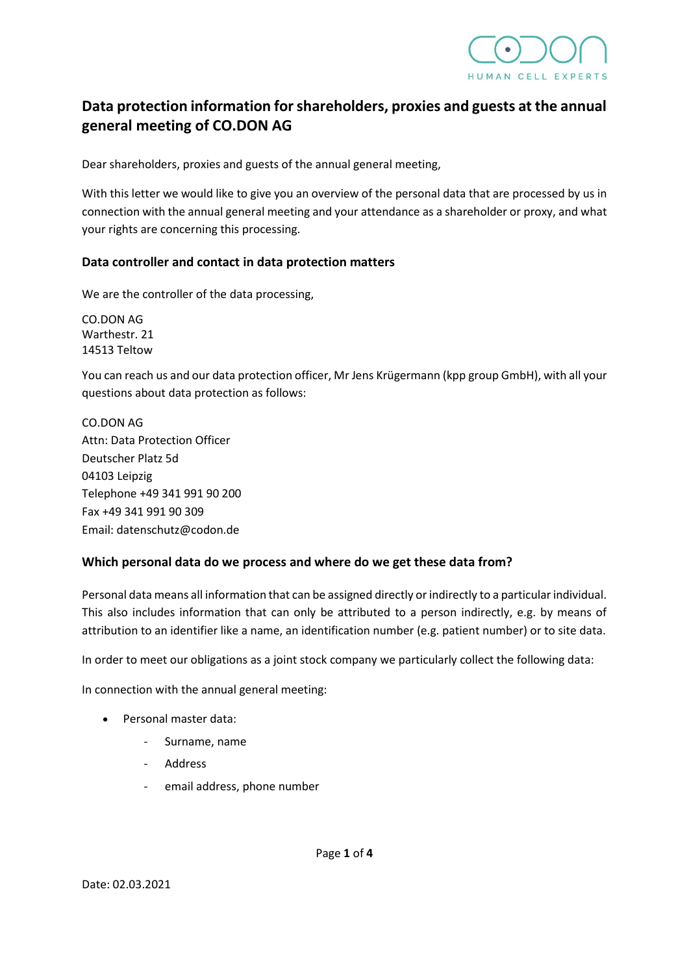

# **Data protection information for shareholders, proxies and guests at the annual general meeting of CO.DON AG**

Dear shareholders, proxies and guests of the annual general meeting,

With this letter we would like to give you an overview of the personal data that are processed by us in connection with the annual general meeting and your attendance as a shareholder or proxy, and what your rights are concerning this processing.

#### **Data controller and contact in data protection matters**

We are the controller of the data processing,

CO.DON AG Warthestr. 21 14513 Teltow

You can reach us and our data protection officer, Mr Jens Krügermann (kpp group GmbH), with all your questions about data protection as follows:

CO.DON AG Attn: Data Protection Officer Deutscher Platz 5d 04103 Leipzig Telephone +49 341 991 90 200 Fax +49 341 991 90 309 Email: datenschutz@codon.de

#### **Which personal data do we process and where do we get these data from?**

Personal data means all information that can be assigned directly or indirectly to a particular individual. This also includes information that can only be attributed to a person indirectly, e.g. by means of attribution to an identifier like a name, an identification number (e.g. patient number) or to site data.

In order to meet our obligations as a joint stock company we particularly collect the following data:

In connection with the annual general meeting:

- Personal master data:
	- Surname, name
	- **Address**
	- email address, phone number

Page **1** of **4**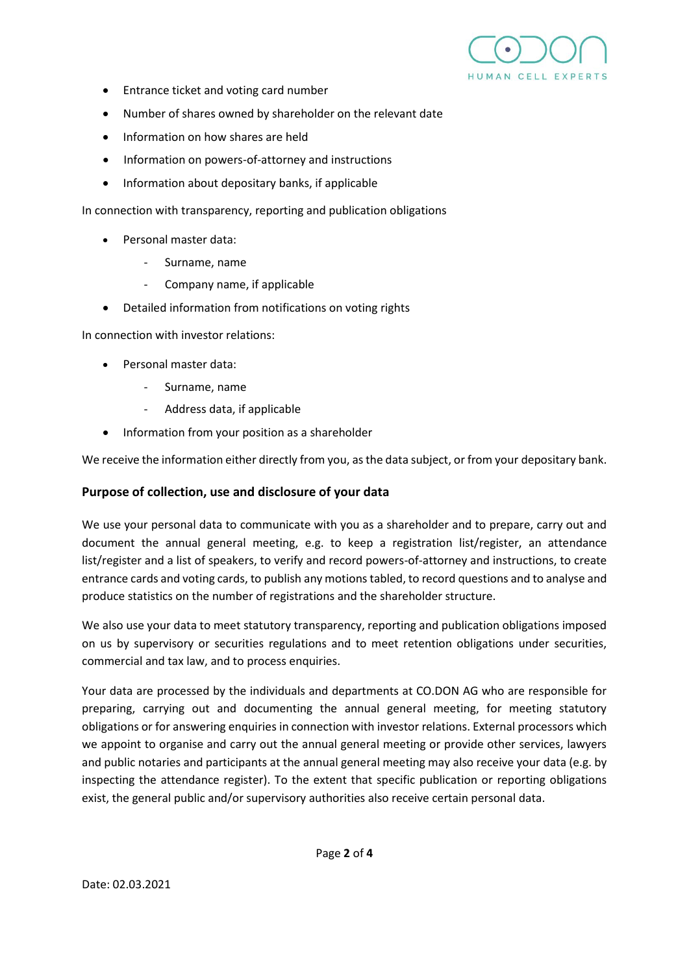

- Entrance ticket and voting card number
- Number of shares owned by shareholder on the relevant date
- Information on how shares are held
- Information on powers-of-attorney and instructions
- Information about depositary banks, if applicable

In connection with transparency, reporting and publication obligations

- Personal master data:
	- Surname, name
	- Company name, if applicable
- Detailed information from notifications on voting rights

In connection with investor relations:

- Personal master data:
	- Surname, name
	- Address data, if applicable
- Information from your position as a shareholder

We receive the information either directly from you, as the data subject, or from your depositary bank.

#### **Purpose of collection, use and disclosure of your data**

We use your personal data to communicate with you as a shareholder and to prepare, carry out and document the annual general meeting, e.g. to keep a registration list/register, an attendance list/register and a list of speakers, to verify and record powers-of-attorney and instructions, to create entrance cards and voting cards, to publish any motions tabled, to record questions and to analyse and produce statistics on the number of registrations and the shareholder structure.

We also use your data to meet statutory transparency, reporting and publication obligations imposed on us by supervisory or securities regulations and to meet retention obligations under securities, commercial and tax law, and to process enquiries.

Your data are processed by the individuals and departments at CO.DON AG who are responsible for preparing, carrying out and documenting the annual general meeting, for meeting statutory obligations or for answering enquiries in connection with investor relations. External processors which we appoint to organise and carry out the annual general meeting or provide other services, lawyers and public notaries and participants at the annual general meeting may also receive your data (e.g. by inspecting the attendance register). To the extent that specific publication or reporting obligations exist, the general public and/or supervisory authorities also receive certain personal data.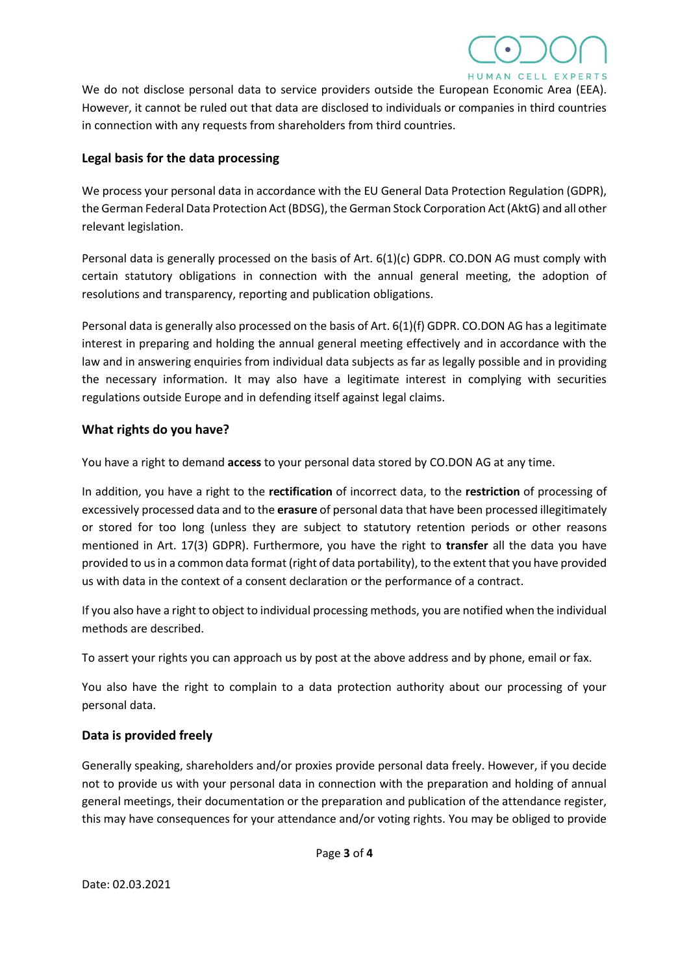

We do not disclose personal data to service providers outside the European Economic Area (EEA). However, it cannot be ruled out that data are disclosed to individuals or companies in third countries in connection with any requests from shareholders from third countries.

#### **Legal basis for the data processing**

We process your personal data in accordance with the EU General Data Protection Regulation (GDPR), the German Federal Data Protection Act (BDSG), the German Stock Corporation Act (AktG) and all other relevant legislation.

Personal data is generally processed on the basis of Art. 6(1)(c) GDPR. CO.DON AG must comply with certain statutory obligations in connection with the annual general meeting, the adoption of resolutions and transparency, reporting and publication obligations.

Personal data is generally also processed on the basis of Art. 6(1)(f) GDPR. CO.DON AG has a legitimate interest in preparing and holding the annual general meeting effectively and in accordance with the law and in answering enquiries from individual data subjects as far as legally possible and in providing the necessary information. It may also have a legitimate interest in complying with securities regulations outside Europe and in defending itself against legal claims.

### **What rights do you have?**

You have a right to demand **access** to your personal data stored by CO.DON AG at any time.

In addition, you have a right to the **rectification** of incorrect data, to the **restriction** of processing of excessively processed data and to the **erasure** of personal data that have been processed illegitimately or stored for too long (unless they are subject to statutory retention periods or other reasons mentioned in Art. 17(3) GDPR). Furthermore, you have the right to **transfer** all the data you have provided to us in a common data format (right of data portability), to the extent that you have provided us with data in the context of a consent declaration or the performance of a contract.

If you also have a right to object to individual processing methods, you are notified when the individual methods are described.

To assert your rights you can approach us by post at the above address and by phone, email or fax.

You also have the right to complain to a data protection authority about our processing of your personal data.

## **Data is provided freely**

Generally speaking, shareholders and/or proxies provide personal data freely. However, if you decide not to provide us with your personal data in connection with the preparation and holding of annual general meetings, their documentation or the preparation and publication of the attendance register, this may have consequences for your attendance and/or voting rights. You may be obliged to provide